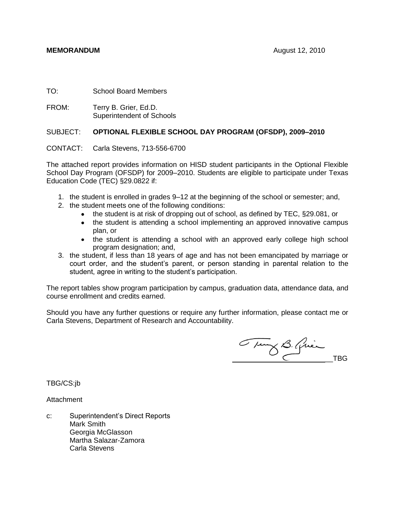TO: School Board Members

FROM: Terry B. Grier, Ed.D. Superintendent of Schools

## SUBJECT: **OPTIONAL FLEXIBLE SCHOOL DAY PROGRAM (OFSDP), 2009–2010**

CONTACT: Carla Stevens, 713-556-6700

The attached report provides information on HISD student participants in the Optional Flexible School Day Program (OFSDP) for 2009–2010. Students are eligible to participate under Texas Education Code (TEC) §29.0822 if:

- 1. the student is enrolled in grades 9–12 at the beginning of the school or semester; and,
- 2. the student meets one of the following conditions:
	- the student is at risk of dropping out of school, as defined by TEC, §29.081, or
	- the student is attending a school implementing an approved innovative campus plan, or
	- the student is attending a school with an approved early college high school program designation; and,
- 3. the student, if less than 18 years of age and has not been emancipated by marriage or court order, and the student's parent, or person standing in parental relation to the student, agree in writing to the student's participation.

The report tables show program participation by campus, graduation data, attendance data, and course enrollment and credits earned.

Should you have any further questions or require any further information, please contact me or Carla Stevens, Department of Research and Accountability.

Tung B. Quien

TBG/CS:jb

Attachment

c: Superintendent's Direct Reports Mark Smith Georgia McGlasson Martha Salazar-Zamora Carla Stevens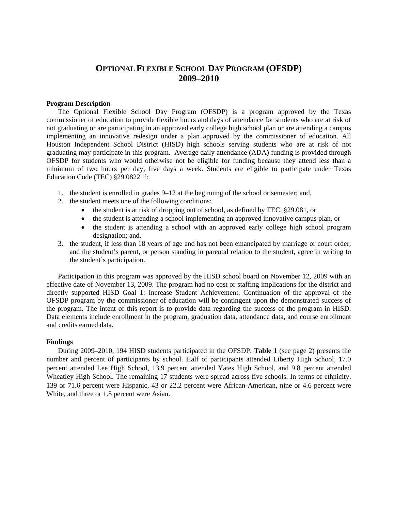## **OPTIONAL FLEXIBLE SCHOOL DAY PROGRAM (OFSDP) 2009–2010**

## **Program Description**

The Optional Flexible School Day Program (OFSDP) is a program approved by the Texas commissioner of education to provide flexible hours and days of attendance for students who are at risk of not graduating or are participating in an approved early college high school plan or are attending a campus implementing an innovative redesign under a plan approved by the commissioner of education. All Houston Independent School District (HISD) high schools serving students who are at risk of not graduating may participate in this program. Average daily attendance (ADA) funding is provided through OFSDP for students who would otherwise not be eligible for funding because they attend less than a minimum of two hours per day, five days a week. Students are eligible to participate under Texas Education Code (TEC) §29.0822 if:

- 1. the student is enrolled in grades 9–12 at the beginning of the school or semester; and,
- 2. the student meets one of the following conditions:
	- $\bullet$  the student is at risk of dropping out of school, as defined by TEC, §29.081, or
	- the student is attending a school implementing an approved innovative campus plan, or
	- the student is attending a school with an approved early college high school program designation; and,
- 3. the student, if less than 18 years of age and has not been emancipated by marriage or court order, and the student's parent, or person standing in parental relation to the student, agree in writing to the student's participation.

Participation in this program was approved by the HISD school board on November 12, 2009 with an effective date of November 13, 2009. The program had no cost or staffing implications for the district and directly supported HISD Goal 1: Increase Student Achievement. Continuation of the approval of the OFSDP program by the commissioner of education will be contingent upon the demonstrated success of the program. The intent of this report is to provide data regarding the success of the program in HISD. Data elements include enrollment in the program, graduation data, attendance data, and course enrollment and credits earned data.

## **Findings**

During 2009–2010, 194 HISD students participated in the OFSDP. **Table 1** (see page 2) presents the number and percent of participants by school. Half of participants attended Liberty High School, 17.0 percent attended Lee High School, 13.9 percent attended Yates High School, and 9.8 percent attended Wheatley High School. The remaining 17 students were spread across five schools. In terms of ethnicity, 139 or 71.6 percent were Hispanic, 43 or 22.2 percent were African-American, nine or 4.6 percent were White, and three or 1.5 percent were Asian.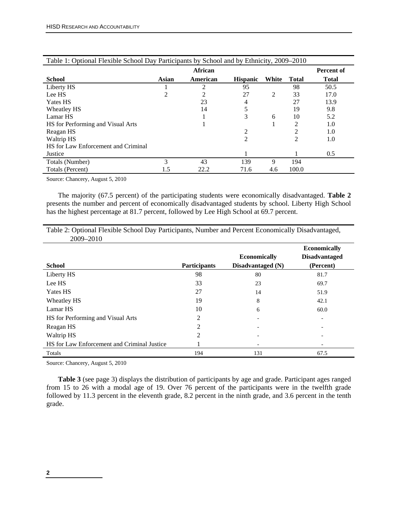| Table 1. Optional Plexible School Day Farticipality by School and by Ethnicity, 2009–2010 |              |          |                 |       |              |               |  |  |
|-------------------------------------------------------------------------------------------|--------------|----------|-----------------|-------|--------------|---------------|--|--|
|                                                                                           |              | African  |                 |       |              | Percent of    |  |  |
| <b>School</b>                                                                             | <b>Asian</b> | American | <b>Hispanic</b> | White | <b>Total</b> | <b>Total</b>  |  |  |
| Liberty HS                                                                                |              | ∍        | 95              |       | 98           | 50.5          |  |  |
| Lee HS                                                                                    |              | 2        | 27              | 2     | 33           | 17.0          |  |  |
| Yates HS                                                                                  |              | 23       | 4               |       | 27           | 13.9          |  |  |
| Wheatley HS                                                                               |              | 14       | 5               |       | 19           | 9.8           |  |  |
| Lamar HS                                                                                  |              |          | 3               | 6     | 10           | 5.2           |  |  |
| HS for Performing and Visual Arts                                                         |              |          |                 |       | 2            | 1.0           |  |  |
| Reagan HS                                                                                 |              |          |                 |       | 2            | 1.0           |  |  |
| Waltrip HS                                                                                |              |          | $\overline{c}$  |       | 2            | 1.0           |  |  |
| HS for Law Enforcement and Criminal                                                       |              |          |                 |       |              |               |  |  |
| Justice                                                                                   |              |          |                 |       |              | $0.5^{\circ}$ |  |  |
| Totals (Number)                                                                           | 3            | 43       | 139             | 9     | 194          |               |  |  |
| Totals (Percent)                                                                          | 1.5          | 22.2     | 71.6            | 4.6   | 100.0        |               |  |  |

Source: Chancery, August 5, 2010

The majority (67.5 percent) of the participating students were economically disadvantaged. **Table 2**  presents the number and percent of economically disadvantaged students by school. Liberty High School has the highest percentage at 81.7 percent, followed by Lee High School at 69.7 percent.

|           | Table 2: Optional Flexible School Day Participants, Number and Percent Economically Disadvantaged, |
|-----------|----------------------------------------------------------------------------------------------------|
| 2009–2010 |                                                                                                    |

|                                             |                     |                     | <b>Economically</b>  |
|---------------------------------------------|---------------------|---------------------|----------------------|
|                                             |                     | <b>Economically</b> | <b>Disadvantaged</b> |
| <b>School</b>                               | <b>Participants</b> | Disadvantaged (N)   | (Percent)            |
| Liberty HS                                  | 98                  | 80                  | 81.7                 |
| Lee HS                                      | 33                  | 23                  | 69.7                 |
| <b>Yates HS</b>                             | 27                  | 14                  | 51.9                 |
| Wheatley HS                                 | 19                  | 8                   | 42.1                 |
| Lamar HS                                    | 10                  | 6                   | 60.0                 |
| HS for Performing and Visual Arts           | 2                   |                     |                      |
| Reagan HS                                   | 2                   |                     |                      |
| Waltrip HS                                  | $\mathfrak{D}$      |                     |                      |
| HS for Law Enforcement and Criminal Justice |                     |                     |                      |
| Totals                                      | 194                 | 131                 | 67.5                 |

Source: Chancery, August 5, 2010

**Table 3** (see page 3) displays the distribution of participants by age and grade. Participant ages ranged from 15 to 26 with a modal age of 19. Over 76 percent of the participants were in the twelfth grade followed by 11.3 percent in the eleventh grade, 8.2 percent in the ninth grade, and 3.6 percent in the tenth grade.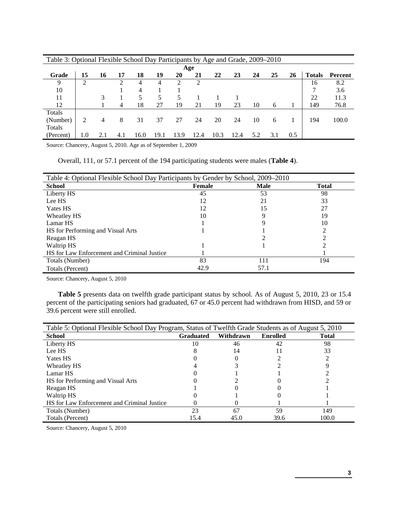| Table 3: Optional Flexible School Day Participants by Age and Grade, 2009–2010 |                |     |     |      |      |      |      |      |      |     |     |     |               |         |
|--------------------------------------------------------------------------------|----------------|-----|-----|------|------|------|------|------|------|-----|-----|-----|---------------|---------|
| Age                                                                            |                |     |     |      |      |      |      |      |      |     |     |     |               |         |
| Grade                                                                          | 15             | 16  | 17  | 18   | 19   | 20   | 21   | 22   | 23   | 24  | 25  | 26  | <b>Totals</b> | Percent |
| 9                                                                              | $\overline{2}$ |     | 2   | 4    | 4    | 2    | 2    |      |      |     |     |     | 16            | 8.2     |
| 10                                                                             |                |     |     | 4    |      |      |      |      |      |     |     |     |               | 3.6     |
| 11                                                                             |                | 3   |     | 5    | 5    | 5    |      |      |      |     |     |     | 22            | 11.3    |
| 12                                                                             |                |     | 4   | 18   | 27   | 19   | 21   | 19   | 23   | 10  | 6   |     | 149           | 76.8    |
| Totals                                                                         |                |     |     |      |      |      |      |      |      |     |     |     |               |         |
| (Number)                                                                       |                | 4   | 8   | 31   | 37   | 27   | 24   | 20   | 24   | 10  | 6   |     | 194           | 100.0   |
| Totals                                                                         |                |     |     |      |      |      |      |      |      |     |     |     |               |         |
| (Percent)                                                                      | 1.0            | 2.1 | 4.1 | 16.0 | 19.1 | 13.9 | 12.4 | 10.3 | 12.4 | 5.2 | 3.1 | 0.5 |               |         |

Table 3: Optional Flexible School Day Participants by Age and Grade, 2009–2010

Source: Chancery, August 5, 2010. Age as of September 1, 2009

Overall, 111, or 57.1 percent of the 194 participating students were males (**Table 4**).

| Table 4: Optional Flexible School Day Participants by Gender by School, 2009–2010 |               |      |              |  |  |  |  |
|-----------------------------------------------------------------------------------|---------------|------|--------------|--|--|--|--|
| <b>School</b>                                                                     | <b>Female</b> | Male | <b>Total</b> |  |  |  |  |
| Liberty HS                                                                        | 45            | 53   | 98           |  |  |  |  |
| Lee HS                                                                            | 12            | 21   | 33           |  |  |  |  |
| Yates HS                                                                          | 12            | 15   | 27           |  |  |  |  |
| Wheatley HS                                                                       | 10            | Q    | 19           |  |  |  |  |
| Lamar HS                                                                          |               |      | 10           |  |  |  |  |
| HS for Performing and Visual Arts                                                 |               |      |              |  |  |  |  |
| Reagan HS                                                                         |               |      |              |  |  |  |  |
| Waltrip HS                                                                        |               |      |              |  |  |  |  |
| HS for Law Enforcement and Criminal Justice                                       |               |      |              |  |  |  |  |
| Totals (Number)                                                                   | 83            | 111  | 194          |  |  |  |  |
| Totals (Percent)                                                                  | 42.9          | 57.1 |              |  |  |  |  |

Source: Chancery, August 5, 2010

**Table 5** presents data on twelfth grade participant status by school. As of August 5, 2010, 23 or 15.4 percent of the participating seniors had graduated, 67 or 45.0 percent had withdrawn from HISD, and 59 or 39.6 percent were still enrolled.

| Table 5: Optional Flexible School Day Program, Status of Twelfth Grade Students as of August 5, 2010 |                  |           |                 |              |  |  |  |  |
|------------------------------------------------------------------------------------------------------|------------------|-----------|-----------------|--------------|--|--|--|--|
| <b>School</b>                                                                                        | <b>Graduated</b> | Withdrawn | <b>Enrolled</b> | <b>Total</b> |  |  |  |  |
| Liberty HS                                                                                           | 10               | 46        | 42              | 98           |  |  |  |  |
| Lee HS                                                                                               |                  | 14        |                 | 33           |  |  |  |  |
| <b>Yates HS</b>                                                                                      |                  |           |                 |              |  |  |  |  |
| Wheatley HS                                                                                          |                  |           |                 |              |  |  |  |  |
| Lamar HS                                                                                             |                  |           |                 |              |  |  |  |  |
| HS for Performing and Visual Arts                                                                    |                  |           |                 |              |  |  |  |  |
| Reagan HS                                                                                            |                  |           |                 |              |  |  |  |  |
| Waltrip HS                                                                                           |                  |           |                 |              |  |  |  |  |
| HS for Law Enforcement and Criminal Justice                                                          |                  |           |                 |              |  |  |  |  |
| Totals (Number)                                                                                      | 23               | 67        | 59              | 149          |  |  |  |  |
| Totals (Percent)                                                                                     | 15.4             | 45.0      | 39.6            | 100.0        |  |  |  |  |

Source: Chancery, August 5, 2010